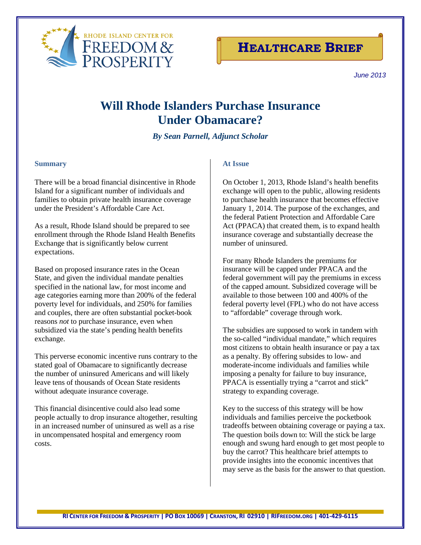



*June <sup>2013</sup>*

# **Will Rhode Islanders Purchase Insurance Under Obamacare?**

# *By Sean Parnell, Adjunct Scholar*

### **Summary**

There will be a broad financial disincentive in Rhode Island for a significant number of individuals and families to obtain private health insurance coverage under the President's Affordable Care Act.

As a result, Rhode Island should be prepared to see enrollment through the Rhode Island Health Benefits Exchange that is significantly below current expectations.

Based on proposed insurance rates in the Ocean State, and given the individual mandate penalties specified in the national law, for most income and age categories earning more than 200% of the federal poverty level for individuals, and 250% for families and couples, there are often substantial pocket-book reasons *not* to purchase insurance, even when subsidized via the state's pending health benefits exchange.

This perverse economic incentive runs contrary to the stated goal of Obamacare to significantly decrease the number of uninsured Americans and will likely leave tens of thousands of Ocean State residents without adequate insurance coverage.

This financial disincentive could also lead some people actually to drop insurance altogether, resulting in an increased number of uninsured as well as a rise in uncompensated hospital and emergency room costs.

# **At Issue**

On October 1, 2013, Rhode Island's health benefits exchange will open to the public, allowing residents to purchase health insurance that becomes effective January 1, 2014. The purpose of the exchanges, and the federal Patient Protection and Affordable Care Act (PPACA) that created them, is to expand health insurance coverage and substantially decrease the number of uninsured.

For many Rhode Islanders the premiums for insurance will be capped under PPACA and the federal government will pay the premiums in excess of the capped amount. Subsidized coverage will be available to those between 100 and 400% of the federal poverty level (FPL) who do not have access to "affordable" coverage through work.

The subsidies are supposed to work in tandem with the so-called "individual mandate," which requires most citizens to obtain health insurance or pay a tax as a penalty. By offering subsides to low- and moderate-income individuals and families while imposing a penalty for failure to buy insurance, PPACA is essentially trying a "carrot and stick" strategy to expanding coverage.

Key to the success of this strategy will be how individuals and families perceive the pocketbook tradeoffs between obtaining coverage or paying a tax. The question boils down to: Will the stick be large enough and swung hard enough to get most people to buy the carrot? This healthcare brief attempts to provide insights into the economic incentives that may serve as the basis for the answer to that question.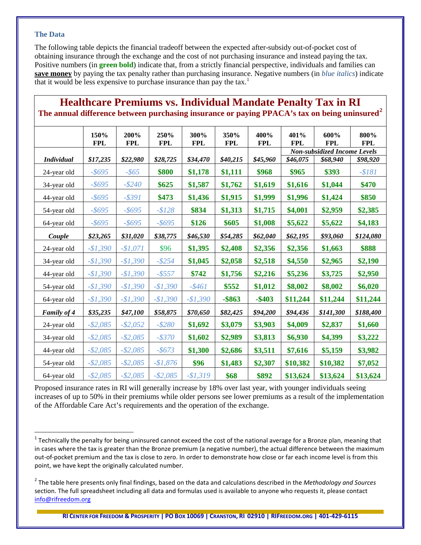## **The Data**

The following table depicts the financial tradeoff between the expected after-subsidy out-of-pocket cost of obtaining insurance through the exchange and the cost of not purchasing insurance and instead paying the tax. Positive numbers (in **green bold**) indicate that, from a strictly financial perspective, individuals and families can **save money** by paying the tax penalty rather than purchasing insurance. Negative numbers (in *blue italics*) indicate that it would be less expensive to purchase insurance than pay the tax.<sup>[1](#page-1-0)</sup>

| The annual difference between purchasing insurance or paying PPACA's tax on being uninsured |                    |                    |                    |                    |                    |                    |                                     |                    |                    |
|---------------------------------------------------------------------------------------------|--------------------|--------------------|--------------------|--------------------|--------------------|--------------------|-------------------------------------|--------------------|--------------------|
|                                                                                             | 150%<br><b>FPL</b> | 200%<br><b>FPL</b> | 250%<br><b>FPL</b> | 300%<br><b>FPL</b> | 350%<br><b>FPL</b> | 400%<br><b>FPL</b> | 401%<br><b>FPL</b>                  | 600%<br><b>FPL</b> | 800%<br><b>FPL</b> |
|                                                                                             |                    |                    |                    |                    |                    |                    | <b>Non-subsidized Income Levels</b> |                    |                    |
| <b>Individual</b>                                                                           | \$17,235           | \$22,980           | \$28,725           | \$34,470           | \$40,215           | \$45,960           | \$46,075                            | \$68,940           | \$98,920           |
| 24-year old                                                                                 | $-$ \$695          | $-$ \$65           | \$800              | \$1,178            | \$1,111            | \$968              | \$965                               | \$393              | $- $181$           |
| 34-year old                                                                                 | $-$ \$695          | $-$ \$240          | \$625              | \$1,587            | \$1,762            | \$1,619            | \$1,616                             | \$1,044            | \$470              |
| 44-year old                                                                                 | $-$ \$695          | $-$ \$391          | \$473              | \$1,436            | \$1,915            | \$1,999            | \$1,996                             | \$1,424            | \$850              |
| 54-year old                                                                                 | $-$ \$695          | $-$ \$695          | $- $128$           | \$834              | \$1,313            | \$1,715            | \$4,001                             | \$2,959            | \$2,385            |
| 64-year old                                                                                 | $-$ \$695          | $-$ \$695          | $-$ \$695          | \$126              | \$605              | \$1,008            | \$5,622                             | \$5,622            | \$4,183            |
| Couple                                                                                      | \$23,265           | \$31,020           | \$38,775           | \$46,530           | \$54,285           | \$62,040           | \$62,195                            | \$93,060           | \$124,080          |
| 24-year old                                                                                 | $-$1,390$          | $-$1,071$          | \$96               | \$1,395            | \$2,408            | \$2,356            | \$2,356                             | \$1,663            | \$888              |
| 34-year old                                                                                 | $-$1,390$          | $-$1,390$          | $-$ \$254          | \$1,045            | \$2,058            | \$2,518            | \$4,550                             | \$2,965            | \$2,190            |
| 44-year old                                                                                 | $-$1,390$          | $-$1,390$          | $- $557$           | \$742              | \$1,756            | \$2,216            | \$5,236                             | \$3,725            | \$2,950            |
| 54-year old                                                                                 | $-$1,390$          | $-$1,390$          | $-$1,390$          | $-$ \$461          | \$552              | \$1,012            | \$8,002                             | \$8,002            | \$6,020            |
| 64-year old                                                                                 | $-$1,390$          | $-$1,390$          | $-$1,390$          | $-$1,390$          | $-$ \$863          | $-$ \$403          | \$11,244                            | \$11,244           | \$11,244           |
| Family of 4                                                                                 | \$35,235           | \$47,100           | \$58,875           | \$70,650           | \$82,425           | \$94,200           | \$94,436                            | \$141,300          | \$188,400          |
| 24-year old                                                                                 | $-$ \$2,085        | $-$ \$2,052        | $- $280$           | \$1,692            | \$3,079            | \$3,903            | \$4,009                             | \$2,837            | \$1,660            |
| 34-year old                                                                                 | $-$ \$2,085        | $-$ \$2,085        | $-$ \$370          | \$1,602            | \$2,989            | \$3,813            | \$6,930                             | \$4,399            | \$3,222            |
| 44-year old                                                                                 | $-$ \$2,085        | $-$ \$2,085        | $-$ \$673          | \$1,300            | \$2,686            | \$3,511            | \$7,616                             | \$5,159            | \$3,982            |
| 54-year old                                                                                 | $-$ \$2,085        | $-$ \$2,085        | $-$1,876$          | \$96               | \$1,483            | \$2,307            | \$10,382                            | \$10,382           | \$7,052            |
| 64-year old                                                                                 | $-$ \$2,085        | $-$ \$2,085        | $-$ \$2,085        | $-$1,319$          | \$68               | \$892              | \$13,624                            | \$13,624           | \$13,624           |

**The annual difference between purchasing insurance or paying PPACA's tax on being uninsured[2](#page-1-1)**

**Healthcare Premiums vs. Individual Mandate Penalty Tax in RI**

Proposed insurance rates in RI will generally increase by 18% over last year, with younger individuals seeing increases of up to 50% in their premiums while older persons see lower premiums as a result of the implementation of the Affordable Care Act's requirements and the operation of the exchange.

<span id="page-1-0"></span> $1$  Technically the penalty for being uninsured cannot exceed the cost of the national average for a Bronze plan, meaning that in cases where the tax is greater than the Bronze premium (a negative number), the actual difference between the maximum out-of-pocket premium and the tax is close to zero. In order to demonstrate how close or far each income level is from this point, we have kept the originally calculated number.

<span id="page-1-1"></span><sup>2</sup> The table here presents only final findings, based on the data and calculations described in the *Methodology and Sources* section. The full spreadsheet including all data and formulas used is available to anyone who requests it, please contact [info@rifreedom.org](mailto:info@rifreedom.org)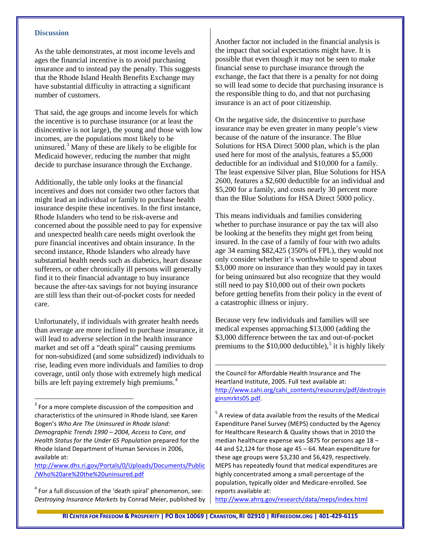#### **Discussion**

As the table demonstrates, at most income levels and ages the financial incentive is to avoid purchasing insurance and to instead pay the penalty. This suggests that the Rhode Island Health Benefits Exchange may have substantial difficulty in attracting a significant number of customers.

That said, the age groups and income levels for which the incentive is to purchase insurance (or at least the disincentive is not large), the young and those with low incomes, are the populations most likely to be uninsured.[3](#page-2-0) Many of these are likely to be eligible for Medicaid however, reducing the number that might decide to purchase insurance through the Exchange.

Additionally, the table only looks at the financial incentives and does not consider two other factors that might lead an individual or family to purchase health insurance despite these incentives. In the first instance, Rhode Islanders who tend to be risk-averse and concerned about the possible need to pay for expensive and unexpected health care needs might overlook the pure financial incentives and obtain insurance. In the second instance, Rhode Islanders who already have substantial health needs such as diabetics, heart disease sufferers, or other chronically ill persons will generally find it to their financial advantage to buy insurance because the after-tax savings for not buying insurance are still less than their out-of-pocket costs for needed care.

Unfortunately, if individuals with greater health needs than average are more inclined to purchase insurance, it will lead to adverse selection in the health insurance market and set off a "death spiral" causing premiums for non-subsidized (and some subsidized) individuals to rise, leading even more individuals and families to drop coverage, until only those with extremely high medical bills are left paying extremely high premiums.<sup>[4](#page-2-1)</sup>

[http://www.dhs.ri.gov/Portals/0/Uploads/Documents/Public](http://www.dhs.ri.gov/Portals/0/Uploads/Documents/Public/Who%20are%20the%20uninsured.pdf) [/Who%20are%20the%20uninsured.pdf](http://www.dhs.ri.gov/Portals/0/Uploads/Documents/Public/Who%20are%20the%20uninsured.pdf)

<span id="page-2-1"></span> $4$  For a full discussion of the 'death spiral' phenomenon, see: *Destroying Insurance Markets* by Conrad Meier, published by Another factor not included in the financial analysis is the impact that social expectations might have. It is possible that even though it may not be seen to make financial sense to purchase insurance through the exchange, the fact that there is a penalty for not doing so will lead some to decide that purchasing insurance is the responsible thing to do, and that not purchasing insurance is an act of poor citizenship.

On the negative side, the disincentive to purchase insurance may be even greater in many people's view because of the nature of the insurance. The Blue Solutions for HSA Direct 5000 plan, which is the plan used here for most of the analysis, features a \$5,000 deductible for an individual and \$10,000 for a family. The least expensive Silver plan, Blue Solutions for HSA 2600, features a \$2,600 deductible for an individual and \$5,200 for a family, and costs nearly 30 percent more than the Blue Solutions for HSA Direct 5000 policy.

This means individuals and families considering whether to purchase insurance or pay the tax will also be looking at the benefits they might get from being insured. In the case of a family of four with two adults age 34 earning \$82,425 (350% of FPL), they would not only consider whether it's worthwhile to spend about \$3,000 more on insurance than they would pay in taxes for being uninsured but also recognize that they would still need to pay \$10,000 out of their own pockets before getting benefits from their policy in the event of a catastrophic illness or injury.

Because very few individuals and families will see medical expenses approaching \$13,000 (adding the \$3,000 difference between the tax and out-of-pocket premiums to the  $$10,000$  deductible),<sup>[5](#page-2-2)</sup> it is highly likely

the Council for Affordable Health Insurance and The Heartland Institute, 2005. Full text available at: [http://www.cahi.org/cahi\\_contents/resources/pdf/destroyin](http://www.cahi.org/cahi_contents/resources/pdf/destroyinginsmrkts05.pdf) [ginsmrkts05.pdf.](http://www.cahi.org/cahi_contents/resources/pdf/destroyinginsmrkts05.pdf)

 $5$  A review of data available from the results of the Medical Expenditure Panel Survey (MEPS) conducted by the Agency for Healthcare Research & Quality shows that in 2010 the median healthcare expense was \$875 for persons age 18 – 44 and \$2,124 for those age 45 – 64. Mean expenditure for these age groups were \$3,230 and \$6,429, respectively. MEPS has repeatedly found that medical expenditures are highly concentrated among a small percentage of the population, typically older and Medicare-enrolled. See reports available at:

<http://www.ahrq.gov/research/data/meps/index.html>

 $\overline{a}$ 

<span id="page-2-2"></span><span id="page-2-0"></span><sup>&</sup>lt;sup>3</sup> For a more complete discussion of the composition and characteristics of the uninsured in Rhode Island, see Karen Bogen's *Who Are The Uninsured in Rhode Island: Demographic Trends 1990 – 2004, Access to Care, and Health Status for the Under 65 Population* prepared for the Rhode Island Department of Human Services in 2006, available at: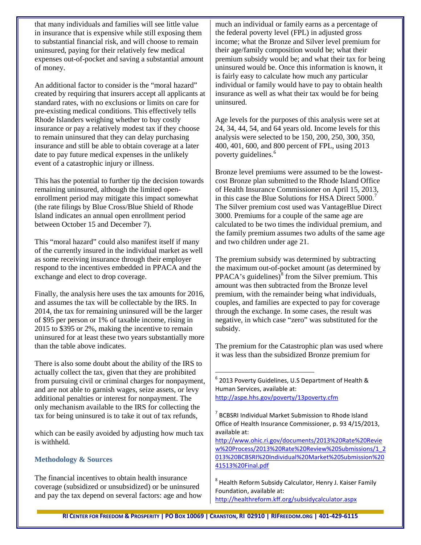that many individuals and families will see little value in insurance that is expensive while still exposing them to substantial financial risk, and will choose to remain uninsured, paying for their relatively few medical expenses out-of-pocket and saving a substantial amount of money.

An additional factor to consider is the "moral hazard" created by requiring that insurers accept all applicants at standard rates, with no exclusions or limits on care for pre-existing medical conditions. This effectively tells Rhode Islanders weighing whether to buy costly insurance or pay a relatively modest tax if they choose to remain uninsured that they can delay purchasing insurance and still be able to obtain coverage at a later date to pay future medical expenses in the unlikely event of a catastrophic injury or illness.

This has the potential to further tip the decision towards remaining uninsured, although the limited openenrollment period may mitigate this impact somewhat (the rate filings by Blue Cross/Blue Shield of Rhode Island indicates an annual open enrollment period between October 15 and December 7).

This "moral hazard" could also manifest itself if many of the currently insured in the individual market as well as some receiving insurance through their employer respond to the incentives embedded in PPACA and the exchange and elect to drop coverage.

Finally, the analysis here uses the tax amounts for 2016, and assumes the tax will be collectable by the IRS. In 2014, the tax for remaining uninsured will be the larger of \$95 per person or 1% of taxable income, rising in 2015 to \$395 or 2%, making the incentive to remain uninsured for at least these two years substantially more than the table above indicates.

<span id="page-3-0"></span>There is also some doubt about the ability of the IRS to actually collect the tax, given that they are prohibited from pursuing civil or criminal charges for nonpayment, and are not able to garnish wages, seize assets, or levy additional penalties or interest for nonpayment. The only mechanism available to the IRS for collecting the tax for being uninsured is to take it out of tax refunds,

<span id="page-3-1"></span>which can be easily avoided by adjusting how much tax is withheld.

## **Methodology & Sources**

<span id="page-3-2"></span>The financial incentives to obtain health insurance coverage (subsidized or unsubsidized) or be uninsured and pay the tax depend on several factors: age and how much an individual or family earns as a percentage of the federal poverty level (FPL) in adjusted gross income; what the Bronze and Silver level premium for their age/family composition would be; what their premium subsidy would be; and what their tax for being uninsured would be. Once this information is known, it is fairly easy to calculate how much any particular individual or family would have to pay to obtain health insurance as well as what their tax would be for being uninsured.

Age levels for the purposes of this analysis were set at 24, 34, 44, 54, and 64 years old. Income levels for this analysis were selected to be 150, 200, 250, 300, 350, 400, 401, 600, and 800 percent of FPL, using 2013 poverty guidelines.<sup>[6](#page-3-0)</sup>

Bronze level premiums were assumed to be the lowestcost Bronze plan submitted to the Rhode Island Office of Health Insurance Commissioner on April 15, 2013, in this case the Blue Solutions for HSA Direct 5000.<sup>[7](#page-3-1)</sup> The Silver premium cost used was VantageBlue Direct 3000. Premiums for a couple of the same age are calculated to be two times the individual premium, and the family premium assumes two adults of the same age and two children under age 21.

The premium subsidy was determined by subtracting the maximum out-of-pocket amount (as determined by  $PPACA's$  guidelines) $\delta$  from the Silver premium. This amount was then subtracted from the Bronze level premium, with the remainder being what individuals, couples, and families are expected to pay for coverage through the exchange. In some cases, the result was negative, in which case "zero" was substituted for the subsidy.

The premium for the Catastrophic plan was used where it was less than the subsidized Bronze premium for

 <sup>6</sup> 2013 Poverty Guidelines, U.S Department of Health & Human Services, available at: <http://aspe.hhs.gov/poverty/13poverty.cfm>

[http://www.ohic.ri.gov/documents/2013%20Rate%20Revie](http://www.ohic.ri.gov/documents/2013%20Rate%20Review%20Process/2013%20Rate%20Review%20Submissions/1_2013%20BCBSRI%20Individual%20Market%20Submission%2041513%20Final.pdf) [w%20Process/2013%20Rate%20Review%20Submissions/1\\_2](http://www.ohic.ri.gov/documents/2013%20Rate%20Review%20Process/2013%20Rate%20Review%20Submissions/1_2013%20BCBSRI%20Individual%20Market%20Submission%2041513%20Final.pdf) [013%20BCBSRI%20Individual%20Market%20Submission%20](http://www.ohic.ri.gov/documents/2013%20Rate%20Review%20Process/2013%20Rate%20Review%20Submissions/1_2013%20BCBSRI%20Individual%20Market%20Submission%2041513%20Final.pdf) [41513%20Final.pdf](http://www.ohic.ri.gov/documents/2013%20Rate%20Review%20Process/2013%20Rate%20Review%20Submissions/1_2013%20BCBSRI%20Individual%20Market%20Submission%2041513%20Final.pdf)

 $^8$  Health Reform Subsidy Calculator, Henry J. Kaiser Family Foundation, available at: <http://healthreform.kff.org/subsidycalculator.aspx>

<sup>7</sup> BCBSRI Individual Market Submission to Rhode Island Office of Health Insurance Commissioner, p. 93 4/15/2013, available at: